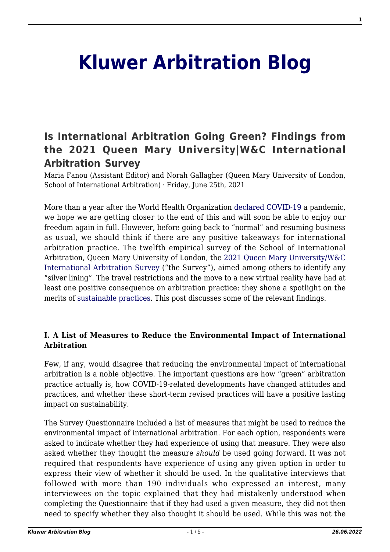# **[Kluwer Arbitration Blog](http://arbitrationblog.kluwerarbitration.com/)**

## **[Is International Arbitration Going Green? Findings from](http://arbitrationblog.kluwerarbitration.com/2021/06/25/is-international-arbitration-going-green-findings-from-the-2021-queen-mary-universitywc-international-arbitration-survey/) [the 2021 Queen Mary University|W&C International](http://arbitrationblog.kluwerarbitration.com/2021/06/25/is-international-arbitration-going-green-findings-from-the-2021-queen-mary-universitywc-international-arbitration-survey/) [Arbitration Survey](http://arbitrationblog.kluwerarbitration.com/2021/06/25/is-international-arbitration-going-green-findings-from-the-2021-queen-mary-universitywc-international-arbitration-survey/)**

Maria Fanou (Assistant Editor) and Norah Gallagher (Queen Mary University of London, School of International Arbitration) · Friday, June 25th, 2021

More than a year after the World Health Organization [declared](#page--1-0) [COVID-19](#page--1-0) a pandemic, we hope we are getting closer to the end of this and will soon be able to enjoy our freedom again in full. However, before going back to "normal" and resuming business as usual, we should think if there are any positive takeaways for international arbitration practice. The twelfth empirical survey of the School of International Arbitration, Queen Mary University of London, the [2021 Queen Mary University/W&C](#page--1-0) [International Arbitration Survey](#page--1-0) ("the Survey"), aimed among others to identify any "silver lining". The travel restrictions and the move to a new virtual reality have had at least one positive consequence on arbitration practice: they shone a spotlight on the merits of [sustainable practices.](#page--1-0) This post discusses some of the relevant findings.

#### **I. A List of Measures to Reduce the Environmental Impact of International Arbitration**

Few, if any, would disagree that reducing the environmental impact of international arbitration is a noble objective. The important questions are how "green" arbitration practice actually is, how COVID-19-related developments have changed attitudes and practices, and whether these short-term revised practices will have a positive lasting impact on sustainability.

The Survey Questionnaire included a list of measures that might be used to reduce the environmental impact of international arbitration. For each option, respondents were asked to indicate whether they had experience of using that measure. They were also asked whether they thought the measure *should* be used going forward. It was not required that respondents have experience of using any given option in order to express their view of whether it should be used. In the qualitative interviews that followed with more than 190 individuals who expressed an interest, many interviewees on the topic explained that they had mistakenly understood when completing the Questionnaire that if they had used a given measure, they did not then need to specify whether they also thought it should be used. While this was not the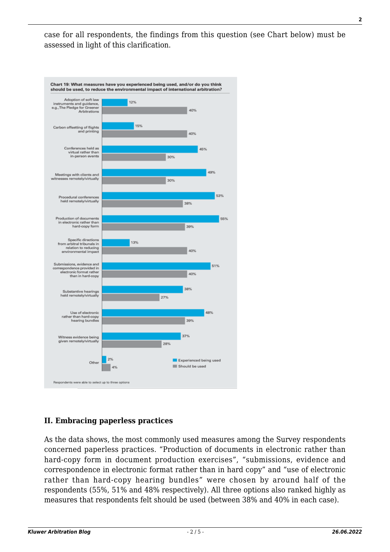case for all respondents, the findings from this question (see Chart below) must be assessed in light of this clarification.



#### **II. Embracing paperless practices**

As the data shows, the most commonly used measures among the Survey respondents concerned paperless practices. "Production of documents in electronic rather than hard-copy form in document production exercises", "submissions, evidence and correspondence in electronic format rather than in hard copy" and "use of electronic rather than hard-copy hearing bundles" were chosen by around half of the respondents (55%, 51% and 48% respectively). All three options also ranked highly as measures that respondents felt should be used (between 38% and 40% in each case).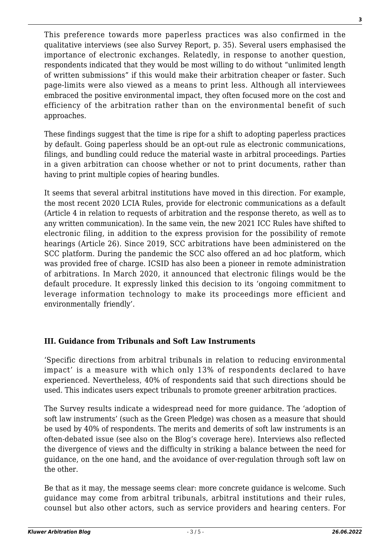This preference towards more paperless practices was also confirmed in the qualitative interviews (see also Survey Report, p. 35). Several users emphasised the importance of electronic exchanges. Relatedly, in response to another question, respondents indicated that they would be most willing to do without "unlimited length of written submissions" if this would make their arbitration cheaper or faster. Such page-limits were also viewed as a means to print less. Although all interviewees embraced the positive environmental impact, they often focused more on the cost and efficiency of the arbitration rather than on the environmental benefit of such approaches.

These findings suggest that the time is ripe for a shift to adopting paperless practices by default. Going paperless should be an opt-out rule as electronic communications, filings, and bundling could reduce the material waste in arbitral proceedings. Parties in a given arbitration can choose whether or not to print documents, rather than having to print multiple copies of hearing bundles.

It seems that several arbitral institutions have moved in this direction. For example, the most recent 2020 LCIA Rules, provide for electronic communications as a default (Article 4 in relation to requests of arbitration and the response thereto, as well as to any written communication). In the same vein, the new 2021 ICC Rules have shifted to electronic filing, in addition to the express provision for the possibility of remote hearings (Article 26). Since 2019, SCC arbitrations have been administered on the SCC platform. During the pandemic the SCC also offered an ad hoc platform, which was provided free of charge. ICSID has also been a pioneer in remote administration of arbitrations. In March 2020, it announced that electronic filings would be the default procedure. It expressly linked this decision to its 'ongoing commitment to leverage information technology to make its proceedings more efficient and environmentally friendly'.

#### **III. Guidance from Tribunals and Soft Law Instruments**

'Specific directions from arbitral tribunals in relation to reducing environmental impact' is a measure with which only 13% of respondents declared to have experienced. Nevertheless, 40% of respondents said that such directions should be used. This indicates users expect tribunals to promote greener arbitration practices.

The Survey results indicate a widespread need for more guidance. The 'adoption of soft law instruments' (such as the Green Pledge) was chosen as a measure that should be used by 40% of respondents. The merits and demerits of soft law instruments is an often-debated issue (see also on the Blog's coverage here). Interviews also reflected the divergence of views and the difficulty in striking a balance between the need for guidance, on the one hand, and the avoidance of over-regulation through soft law on the other.

Be that as it may, the message seems clear: more concrete guidance is welcome. Such guidance may come from arbitral tribunals, arbitral institutions and their rules, counsel but also other actors, such as service providers and hearing centers. For **3**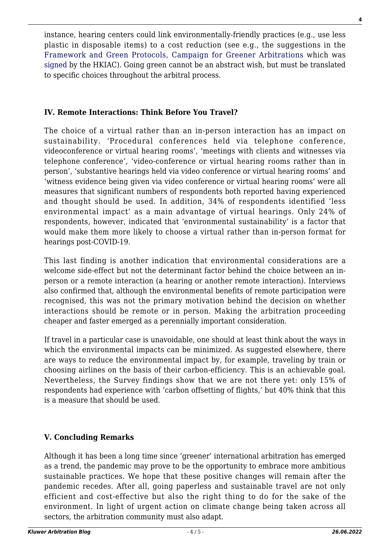instance, hearing centers could link environmentally-friendly practices (e.g., use less plastic in disposable items) to a cost reduction (see e.g., the suggestions in the [Framework and Green Protocols, Campaign for Greener Arbitrations](https://www.greenerarbitrations.com/green-protocols/complete-set) which was [signed](https://www.hkiac.org/news/hkiac-signs-green-pledge-supports-green-protocols) by the HKIAC). Going green cannot be an abstract wish, but must be translated to specific choices throughout the arbitral process.

#### **IV. Remote Interactions: Think Before You Travel?**

The choice of a virtual rather than an in-person interaction has an impact on sustainability. 'Procedural conferences held via telephone conference, videoconference or virtual hearing rooms', 'meetings with clients and witnesses via telephone conference', 'video-conference or virtual hearing rooms rather than in person', 'substantive hearings held via video conference or virtual hearing rooms' and 'witness evidence being given via video conference or virtual hearing rooms' were all measures that significant numbers of respondents both reported having experienced and thought should be used. In addition, 34% of respondents identified 'less environmental impact' as a main advantage of virtual hearings. Only 24% of respondents, however, indicated that 'environmental sustainability' is a factor that would make them more likely to choose a virtual rather than in-person format for hearings post-COVID-19.

This last finding is another indication that environmental considerations are a welcome side-effect but not the determinant factor behind the choice between an inperson or a remote interaction (a hearing or another remote interaction). Interviews also confirmed that, although the environmental benefits of remote participation were recognised, this was not the primary motivation behind the decision on whether interactions should be remote or in person. Making the arbitration proceeding cheaper and faster emerged as a perennially important consideration.

If travel in a particular case is unavoidable, one should at least think about the ways in which the environmental impacts can be minimized. As suggested elsewhere, there are ways to reduce the environmental impact by, for example, traveling by train or choosing airlines on the basis of their carbon-efficiency. This is an achievable goal. Nevertheless, the Survey findings show that we are not there yet: only 15% of respondents had experience with 'carbon offsetting of flights,' but 40% think that this is a measure that should be used.

### **V. Concluding Remarks**

Although it has been a long time since 'greener' international arbitration has emerged as a trend, the pandemic may prove to be the opportunity to embrace more ambitious sustainable practices. We hope that these positive changes will remain after the pandemic recedes. After all, going paperless and sustainable travel are not only efficient and cost-effective but also the right thing to do for the sake of the environment. In light of urgent action on climate change being taken across all sectors, the arbitration community must also adapt.

**4**